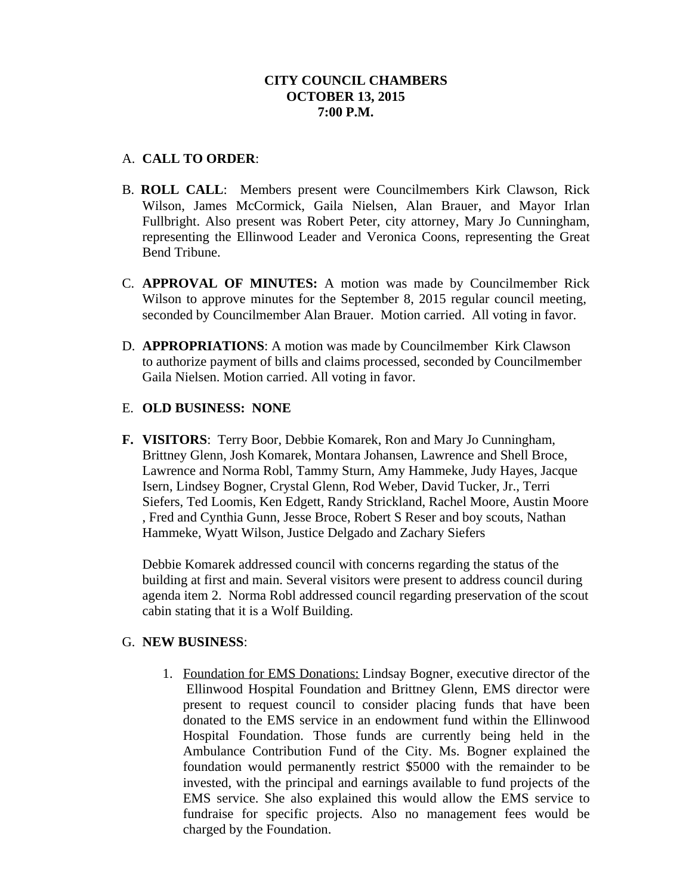## A. **CALL TO ORDER**:

- B. **ROLL CALL**: Members present were Councilmembers Kirk Clawson, Rick Wilson, James McCormick, Gaila Nielsen, Alan Brauer, and Mayor Irlan Fullbright. Also present was Robert Peter, city attorney, Mary Jo Cunningham, representing the Ellinwood Leader and Veronica Coons, representing the Great Bend Tribune.
- C. **APPROVAL OF MINUTES:** A motion was made by Councilmember Rick Wilson to approve minutes for the September 8, 2015 regular council meeting, seconded by Councilmember Alan Brauer. Motion carried. All voting in favor.
- D. **APPROPRIATIONS**: A motion was made by Councilmember Kirk Clawson to authorize payment of bills and claims processed, seconded by Councilmember Gaila Nielsen. Motion carried. All voting in favor.

# E. **OLD BUSINESS: NONE**

**F. VISITORS**: Terry Boor, Debbie Komarek, Ron and Mary Jo Cunningham, Brittney Glenn, Josh Komarek, Montara Johansen, Lawrence and Shell Broce, Lawrence and Norma Robl, Tammy Sturn, Amy Hammeke, Judy Hayes, Jacque Isern, Lindsey Bogner, Crystal Glenn, Rod Weber, David Tucker, Jr., Terri Siefers, Ted Loomis, Ken Edgett, Randy Strickland, Rachel Moore, Austin Moore , Fred and Cynthia Gunn, Jesse Broce, Robert S Reser and boy scouts, Nathan Hammeke, Wyatt Wilson, Justice Delgado and Zachary Siefers

Debbie Komarek addressed council with concerns regarding the status of the building at first and main. Several visitors were present to address council during agenda item 2. Norma Robl addressed council regarding preservation of the scout cabin stating that it is a Wolf Building.

#### G. **NEW BUSINESS**:

1. Foundation for EMS Donations: Lindsay Bogner, executive director of the Ellinwood Hospital Foundation and Brittney Glenn, EMS director were present to request council to consider placing funds that have been donated to the EMS service in an endowment fund within the Ellinwood Hospital Foundation. Those funds are currently being held in the Ambulance Contribution Fund of the City. Ms. Bogner explained the foundation would permanently restrict \$5000 with the remainder to be invested, with the principal and earnings available to fund projects of the EMS service. She also explained this would allow the EMS service to fundraise for specific projects. Also no management fees would be charged by the Foundation.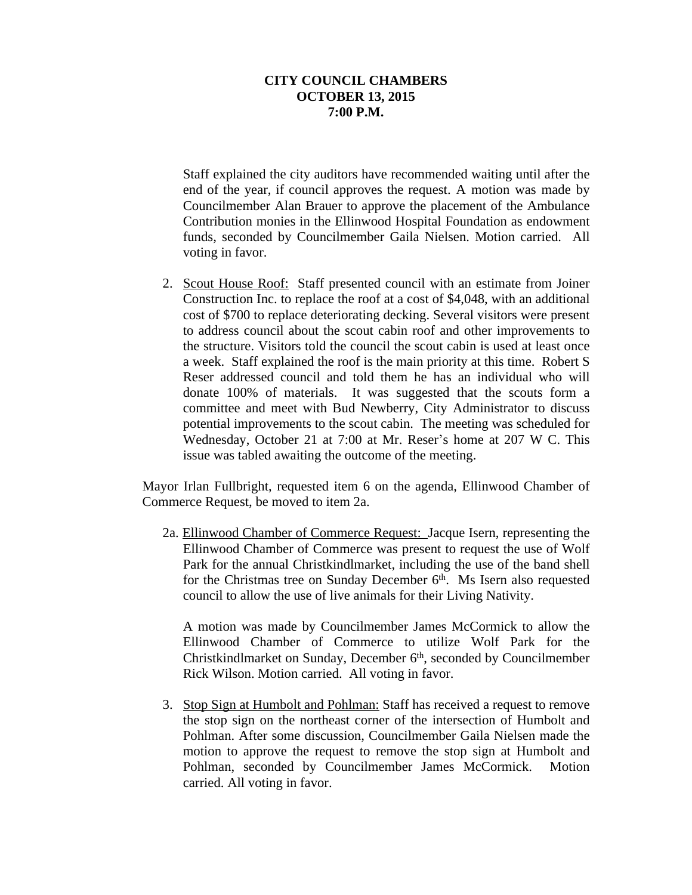Staff explained the city auditors have recommended waiting until after the end of the year, if council approves the request. A motion was made by Councilmember Alan Brauer to approve the placement of the Ambulance Contribution monies in the Ellinwood Hospital Foundation as endowment funds, seconded by Councilmember Gaila Nielsen. Motion carried. All voting in favor.

2. Scout House Roof: Staff presented council with an estimate from Joiner Construction Inc. to replace the roof at a cost of \$4,048, with an additional cost of \$700 to replace deteriorating decking. Several visitors were present to address council about the scout cabin roof and other improvements to the structure. Visitors told the council the scout cabin is used at least once a week. Staff explained the roof is the main priority at this time. Robert S Reser addressed council and told them he has an individual who will donate 100% of materials. It was suggested that the scouts form a committee and meet with Bud Newberry, City Administrator to discuss potential improvements to the scout cabin. The meeting was scheduled for Wednesday, October 21 at 7:00 at Mr. Reser's home at 207 W C. This issue was tabled awaiting the outcome of the meeting.

Mayor Irlan Fullbright, requested item 6 on the agenda, Ellinwood Chamber of Commerce Request, be moved to item 2a.

2a. Ellinwood Chamber of Commerce Request: Jacque Isern, representing the Ellinwood Chamber of Commerce was present to request the use of Wolf Park for the annual Christkindlmarket, including the use of the band shell for the Christmas tree on Sunday December 6<sup>th</sup>. Ms Isern also requested council to allow the use of live animals for their Living Nativity.

A motion was made by Councilmember James McCormick to allow the Ellinwood Chamber of Commerce to utilize Wolf Park for the Christkindlmarket on Sunday, December 6<sup>th</sup>, seconded by Councilmember Rick Wilson. Motion carried. All voting in favor.

3. Stop Sign at Humbolt and Pohlman: Staff has received a request to remove the stop sign on the northeast corner of the intersection of Humbolt and Pohlman. After some discussion, Councilmember Gaila Nielsen made the motion to approve the request to remove the stop sign at Humbolt and Pohlman, seconded by Councilmember James McCormick. Motion carried. All voting in favor.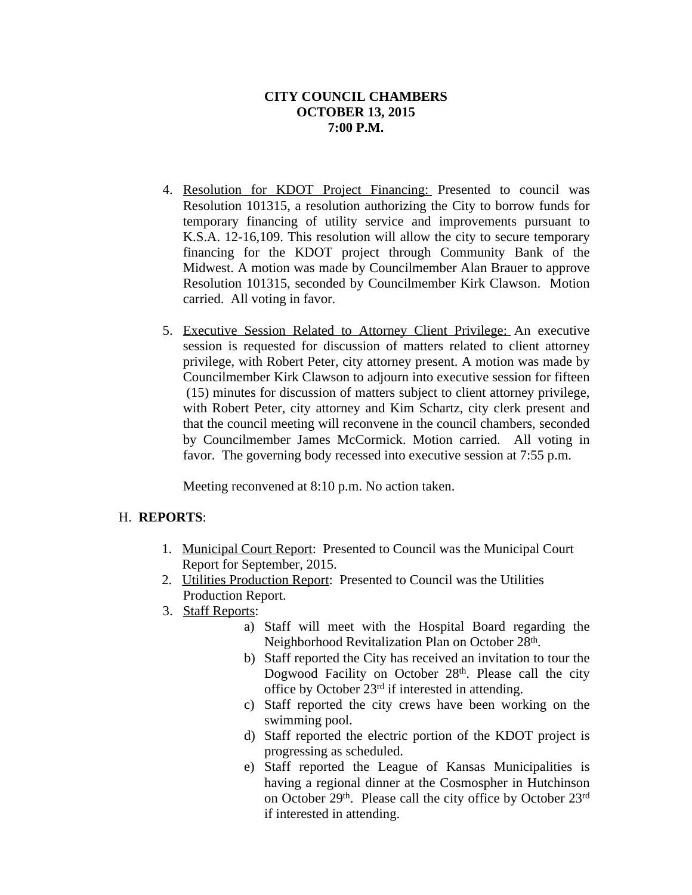- 4. Resolution for KDOT Project Financing: Presented to council was Resolution 101315, a resolution authorizing the City to borrow funds for temporary financing of utility service and improvements pursuant to K.S.A. 12-16,109. This resolution will allow the city to secure temporary financing for the KDOT project through Community Bank of the Midwest. A motion was made by Councilmember Alan Brauer to approve Resolution 101315, seconded by Councilmember Kirk Clawson. Motion carried. All voting in favor.
- 5. Executive Session Related to Attorney Client Privilege: An executive session is requested for discussion of matters related to client attorney privilege, with Robert Peter, city attorney present. A motion was made by Councilmember Kirk Clawson to adjourn into executive session for fifteen (15) minutes for discussion of matters subject to client attorney privilege, with Robert Peter, city attorney and Kim Schartz, city clerk present and that the council meeting will reconvene in the council chambers, seconded by Councilmember James McCormick. Motion carried. All voting in favor. The governing body recessed into executive session at 7:55 p.m.

Meeting reconvened at 8:10 p.m. No action taken.

#### H. **REPORTS**:

- 1. Municipal Court Report: Presented to Council was the Municipal Court Report for September, 2015.
- 2. Utilities Production Report: Presented to Council was the Utilities Production Report.
- 3. Staff Reports:
	- a) Staff will meet with the Hospital Board regarding the Neighborhood Revitalization Plan on October 28<sup>th</sup>.
	- b) Staff reported the City has received an invitation to tour the Dogwood Facility on October 28<sup>th</sup>. Please call the city office by October 23rd if interested in attending.
	- c) Staff reported the city crews have been working on the swimming pool.
	- d) Staff reported the electric portion of the KDOT project is progressing as scheduled.
	- e) Staff reported the League of Kansas Municipalities is having a regional dinner at the Cosmospher in Hutchinson on October 29<sup>th</sup>. Please call the city office by October 23<sup>rd</sup> if interested in attending.